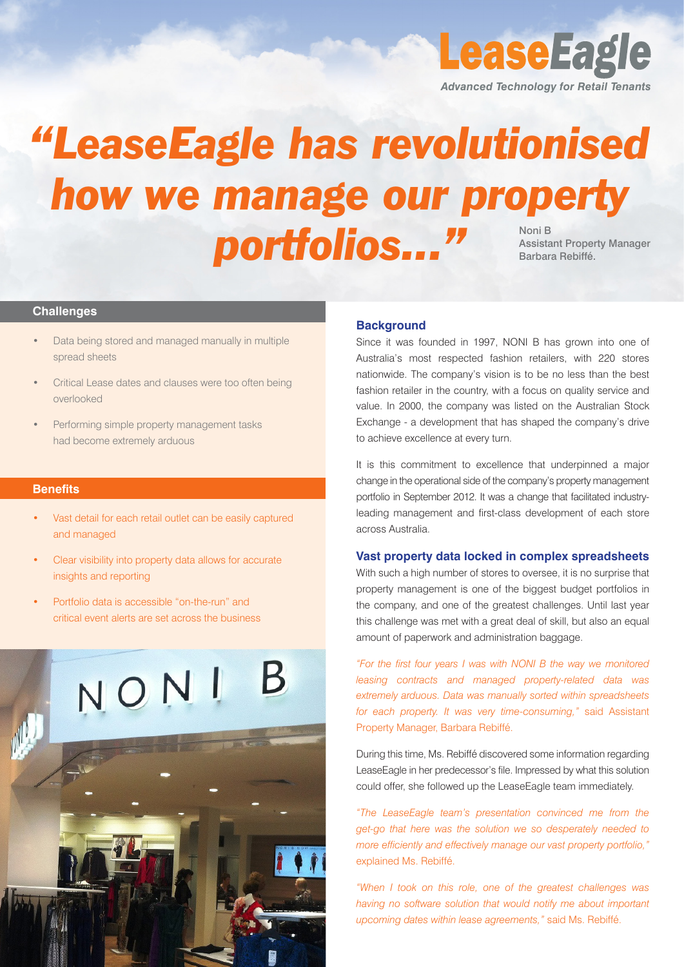*Advanced Technology for Retail Tenants*

**LeaseEagle** 

# *"LeaseEagle has revolutionised how we manage our property* portfolios..." Assistant Property Manager Barbara Rebiffé.

# **Challenges**

- Data being stored and managed manually in multiple spread sheets
- Critical Lease dates and clauses were too often being overlooked
- Performing simple property management tasks had become extremely arduous

# **Benefits**

- Vast detail for each retail outlet can be easily captured and managed
- Clear visibility into property data allows for accurate insights and reporting
- • Portfolio data is accessible "on-the-run" and critical event alerts are set across the business



# **Background**

Since it was founded in 1997, NONI B has grown into one of Australia's most respected fashion retailers, with 220 stores nationwide. The company's vision is to be no less than the best fashion retailer in the country, with a focus on quality service and value. In 2000, the company was listed on the Australian Stock Exchange - a development that has shaped the company's drive to achieve excellence at every turn.

It is this commitment to excellence that underpinned a major change in the operational side of the company's property management portfolio in September 2012. It was a change that facilitated industryleading management and first-class development of each store across Australia.

### **Vast property data locked in complex spreadsheets**

With such a high number of stores to oversee, it is no surprise that property management is one of the biggest budget portfolios in the company, and one of the greatest challenges. Until last year this challenge was met with a great deal of skill, but also an equal amount of paperwork and administration baggage.

*"For the first four years I was with NONI B the way we monitored leasing contracts and managed property-related data was extremely arduous. Data was manually sorted within spreadsheets for each property. It was very time-consuming,"* said Assistant Property Manager, Barbara Rebiffé.

During this time, Ms. Rebiffé discovered some information regarding LeaseEagle in her predecessor's file. Impressed by what this solution could offer, she followed up the LeaseEagle team immediately.

*"The LeaseEagle team's presentation convinced me from the get-go that here was the solution we so desperately needed to more efficiently and effectively manage our vast property portfolio,"* explained Ms. Rebiffé.

*"When I took on this role, one of the greatest challenges was having no software solution that would notify me about important upcoming dates within lease agreements,"* said Ms. Rebiffé.